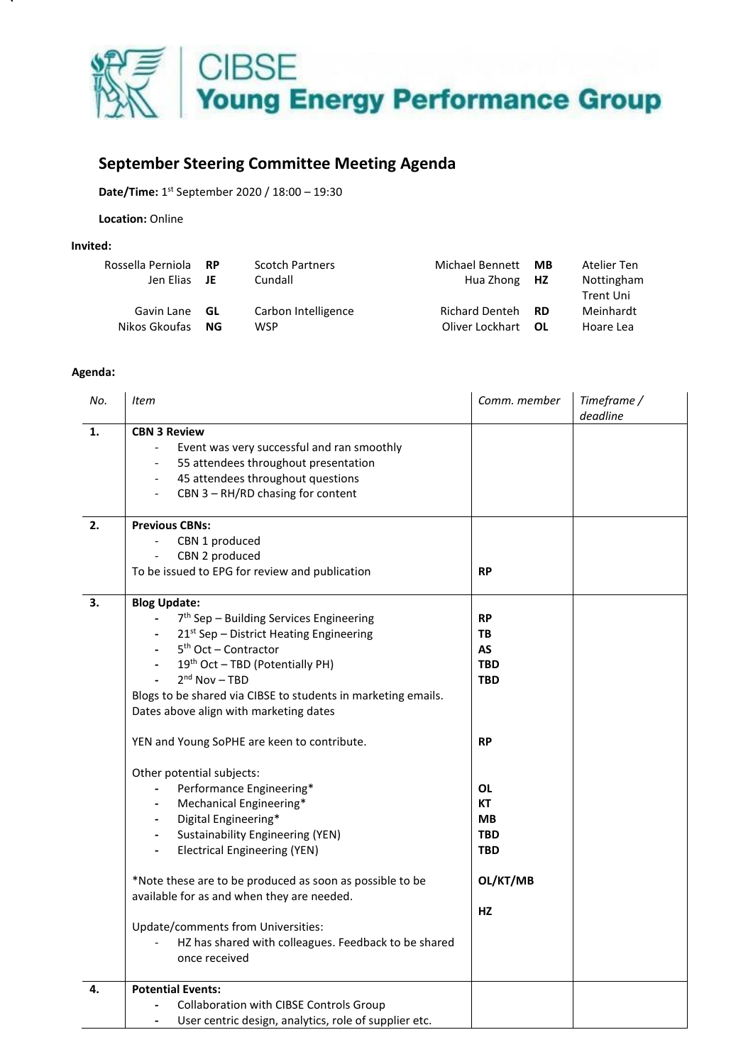

## **September Steering Committee Meeting Agenda**

Date/Time: 1<sup>st</sup> September 2020 / 18:00 - 19:30

**Location:** Online

## **Invited:**

| Rossella Perniola RP |      | <b>Scotch Partners</b> | Michael Bennett          | МB | Atelier Ten |
|----------------------|------|------------------------|--------------------------|----|-------------|
| Jen Elias JE         |      | Cundall                | Hua Zhong HZ             |    | Nottingham  |
|                      |      |                        |                          |    | Trent Uni   |
| Gavin Lane           | - GL | Carbon Intelligence    | Richard Denteh <b>RD</b> |    | Meinhardt   |
| Nikos Gkoufas NG     |      | WSP                    | Oliver Lockhart OL       |    | Hoare Lea   |

## **Agenda:**

| No. | <b>Item</b>                                                                                                                                                                                                                                                                                                                                                                                                                                                                                                                                                                                                                                                                                                                                                                                                                                                                                            | Comm. member                                                                                                                                               | Timeframe /<br>deadline |
|-----|--------------------------------------------------------------------------------------------------------------------------------------------------------------------------------------------------------------------------------------------------------------------------------------------------------------------------------------------------------------------------------------------------------------------------------------------------------------------------------------------------------------------------------------------------------------------------------------------------------------------------------------------------------------------------------------------------------------------------------------------------------------------------------------------------------------------------------------------------------------------------------------------------------|------------------------------------------------------------------------------------------------------------------------------------------------------------|-------------------------|
| 1.  | <b>CBN 3 Review</b><br>Event was very successful and ran smoothly<br>55 attendees throughout presentation<br>45 attendees throughout questions<br>$\overline{\phantom{a}}$<br>CBN 3 - RH/RD chasing for content                                                                                                                                                                                                                                                                                                                                                                                                                                                                                                                                                                                                                                                                                        |                                                                                                                                                            |                         |
| 2.  | <b>Previous CBNs:</b><br>CBN 1 produced<br>CBN 2 produced<br>$\frac{1}{2}$<br>To be issued to EPG for review and publication                                                                                                                                                                                                                                                                                                                                                                                                                                                                                                                                                                                                                                                                                                                                                                           | <b>RP</b>                                                                                                                                                  |                         |
| 3.  | <b>Blog Update:</b><br>7 <sup>th</sup> Sep - Building Services Engineering<br>$21st$ Sep – District Heating Engineering<br>$5th$ Oct – Contractor<br>$\blacksquare$<br>19th Oct - TBD (Potentially PH)<br>$\overline{\phantom{a}}$<br>$2nd$ Nov - TBD<br>Blogs to be shared via CIBSE to students in marketing emails.<br>Dates above align with marketing dates<br>YEN and Young SoPHE are keen to contribute.<br>Other potential subjects:<br>Performance Engineering*<br>Mechanical Engineering*<br>$\overline{\phantom{a}}$<br>Digital Engineering*<br>$\blacksquare$<br><b>Sustainability Engineering (YEN)</b><br>$\blacksquare$<br><b>Electrical Engineering (YEN)</b><br>*Note these are to be produced as soon as possible to be<br>available for as and when they are needed.<br>Update/comments from Universities:<br>HZ has shared with colleagues. Feedback to be shared<br>once received | <b>RP</b><br>ТB<br><b>AS</b><br><b>TBD</b><br><b>TBD</b><br><b>RP</b><br><b>OL</b><br><b>KT</b><br><b>MB</b><br><b>TBD</b><br><b>TBD</b><br>OL/KT/MB<br>HZ |                         |
| 4.  | <b>Potential Events:</b><br>Collaboration with CIBSE Controls Group<br>User centric design, analytics, role of supplier etc.                                                                                                                                                                                                                                                                                                                                                                                                                                                                                                                                                                                                                                                                                                                                                                           |                                                                                                                                                            |                         |